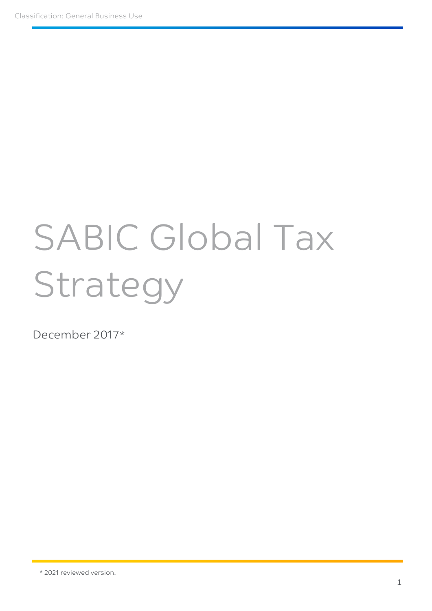# SABIC Global Tax Strategy

December 2017\*

<sup>\*</sup> 2021 reviewed version.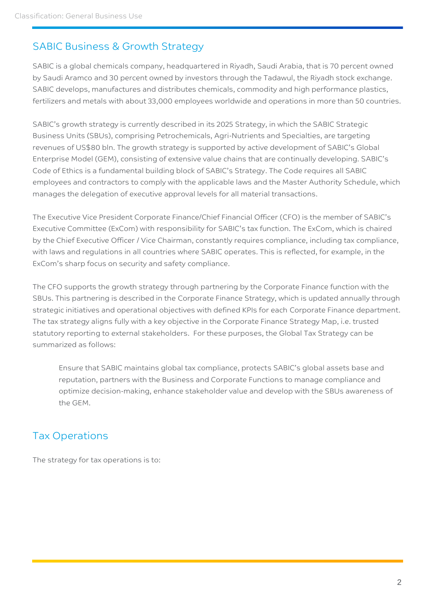#### SABIC Business & Growth Strategy

SABIC is a global chemicals company, headquartered in Riyadh, Saudi Arabia, that is 70 percent owned by Saudi Aramco and 30 percent owned by investors through the Tadawul, the Riyadh stock exchange. SABIC develops, manufactures and distributes chemicals, commodity and high performance plastics, fertilizers and metals with about 33,000 employees worldwide and operations in more than 50 countries.

SABIC's growth strategy is currently described in its 2025 Strategy, in which the SABIC Strategic Business Units (SBUs), comprising Petrochemicals, Agri-Nutrients and Specialties, are targeting revenues of US\$80 bln. The growth strategy is supported by active development of SABIC's Global Enterprise Model (GEM), consisting of extensive value chains that are continually developing. SABIC's Code of Ethics is a fundamental building block of SABIC's Strategy. The Code requires all SABIC employees and contractors to comply with the applicable laws and the Master Authority Schedule, which manages the delegation of executive approval levels for all material transactions.

The Executive Vice President Corporate Finance/Chief Financial Officer (CFO) is the member of SABIC's Executive Committee (ExCom) with responsibility for SABIC's tax function. The ExCom, which is chaired by the Chief Executive Officer / Vice Chairman, constantly requires compliance, including tax compliance, with laws and regulations in all countries where SABIC operates. This is reflected, for example, in the ExCom's sharp focus on security and safety compliance.

The CFO supports the growth strategy through partnering by the Corporate Finance function with the SBUs. This partnering is described in the Corporate Finance Strategy, which is updated annually through strategic initiatives and operational objectives with defined KPIs for each Corporate Finance department. The tax strategy aligns fully with a key objective in the Corporate Finance Strategy Map, i.e. trusted statutory reporting to external stakeholders. For these purposes, the Global Tax Strategy can be summarized as follows:

Ensure that SABIC maintains global tax compliance, protects SABIC's global assets base and reputation, partners with the Business and Corporate Functions to manage compliance and optimize decision-making, enhance stakeholder value and develop with the SBUs awareness of the GEM.

### Tax Operations

The strategy for tax operations is to: